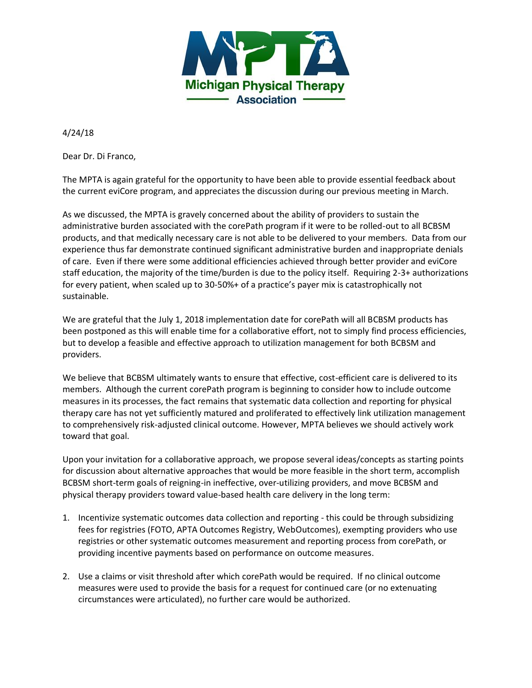

4/24/18

Dear Dr. Di Franco,

The MPTA is again grateful for the opportunity to have been able to provide essential feedback about the current eviCore program, and appreciates the discussion during our previous meeting in March.

As we discussed, the MPTA is gravely concerned about the ability of providers to sustain the administrative burden associated with the corePath program if it were to be rolled-out to all BCBSM products, and that medically necessary care is not able to be delivered to your members. Data from our experience thus far demonstrate continued significant administrative burden and inappropriate denials of care. Even if there were some additional efficiencies achieved through better provider and eviCore staff education, the majority of the time/burden is due to the policy itself. Requiring 2-3+ authorizations for every patient, when scaled up to 30-50%+ of a practice's payer mix is catastrophically not sustainable.

We are grateful that the July 1, 2018 implementation date for corePath will all BCBSM products has been postponed as this will enable time for a collaborative effort, not to simply find process efficiencies, but to develop a feasible and effective approach to utilization management for both BCBSM and providers.

We believe that BCBSM ultimately wants to ensure that effective, cost-efficient care is delivered to its members. Although the current corePath program is beginning to consider how to include outcome measures in its processes, the fact remains that systematic data collection and reporting for physical therapy care has not yet sufficiently matured and proliferated to effectively link utilization management to comprehensively risk-adjusted clinical outcome. However, MPTA believes we should actively work toward that goal.

Upon your invitation for a collaborative approach, we propose several ideas/concepts as starting points for discussion about alternative approaches that would be more feasible in the short term, accomplish BCBSM short-term goals of reigning-in ineffective, over-utilizing providers, and move BCBSM and physical therapy providers toward value-based health care delivery in the long term:

- 1. Incentivize systematic outcomes data collection and reporting this could be through subsidizing fees for registries (FOTO, APTA Outcomes Registry, WebOutcomes), exempting providers who use registries or other systematic outcomes measurement and reporting process from corePath, or providing incentive payments based on performance on outcome measures.
- 2. Use a claims or visit threshold after which corePath would be required. If no clinical outcome measures were used to provide the basis for a request for continued care (or no extenuating circumstances were articulated), no further care would be authorized.